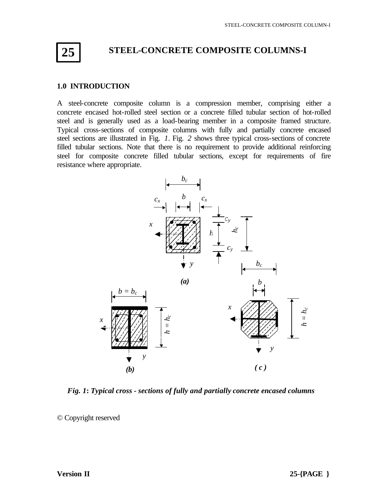

# **STEEL-CONCRETE COMPOSITE COLUMNS-I**

#### **1.0 INTRODUCTION**

A steel-concrete composite column is a compression member, comprising either a concrete encased hot-rolled steel section or a concrete filled tubular section of hot-rolled steel and is generally used as a load-bearing member in a composite framed structure. Typical cross-sections of composite columns with fully and partially concrete encased steel sections are illustrated in Fig. *1*. Fig. *2* shows three typical cross-sections of concrete filled tubular sections. Note that there is no requirement to provide additional reinforcing steel for composite concrete filled tubular sections, except for requirements of fire resistance where appropriate.



*Fig. 1***:** *Typical cross - sections of fully and partially concrete encased columns*

© Copyright reserved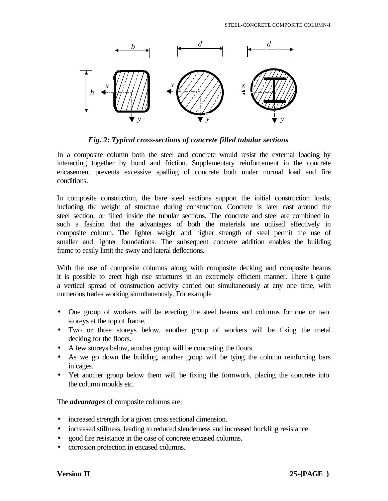

*Fig. 2***:** *Typical cross-sections of concrete filled tubular sections*

In a composite column both the steel and concrete would resist the external loading by interacting together by bond and friction. Supplementary reinforcement in the concrete encasement prevents excessive spalling of concrete both under normal load and fire conditions.

In composite construction, the bare steel sections support the initial construction loads, including the weight of structure during construction. Concrete is later cast around the steel section, or filled inside the tubular sections. The concrete and steel are combined in such a fashion that the advantages of both the materials are utilised effectively in composite column. The lighter weight and higher strength of steel permit the use of smaller and lighter foundations. The subsequent concrete addition enables the building frame to easily limit the sway and lateral deflections.

With the use of composite columns along with composite decking and composite beams it is possible to erect high rise structures in an extremely efficient manner. There is quite a vertical spread of construction activity carried out simultaneously at any one time, with numerous trades working simultaneously. For example

- One group of workers will be erecting the steel beams and columns for one or two storeys at the top of frame.
- Two or three storeys below, another group of workers will be fixing the metal decking for the floors.
- A few storeys below, another group will be concreting the floors.
- As we go down the building, another group will be tying the column reinforcing bars in cages.
- Yet another group below them will be fixing the formwork, placing the concrete into the column moulds etc.

The *advantages* of composite columns are:

- increased strength for a given cross sectional dimension.
- increased stiffness, leading to reduced slenderness and increased buckling resistance.
- good fire resistance in the case of concrete encased columns.
- corrosion protection in encased columns.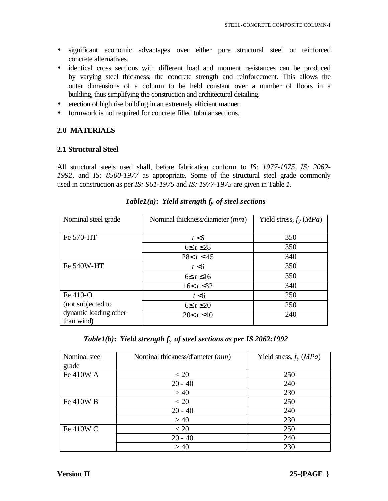- significant economic advantages over either pure structural steel or reinforced concrete alternatives.
- identical cross sections with different load and moment resistances can be produced by varying steel thickness, the concrete strength and reinforcement. This allows the outer dimensions of a column to be held constant over a number of floors in a building, thus simplifying the construction and architectural detailing.
- erection of high rise building in an extremely efficient manner.
- formwork is not required for concrete filled tubular sections.

# **2.0 MATERIALS**

### **2.1 Structural Steel**

All structural steels used shall, before fabrication conform to *IS: 1977-1975, IS: 2062- 1992*, and *IS: 8500-1977* as appropriate. Some of the structural steel grade commonly used in construction as per *IS: 961-1975* and *IS: 1977-1975* are given in Table *1*.

| Nominal steel grade                 | Nominal thickness/diameter (mm) | Yield stress, $f_y(MPa)$ |
|-------------------------------------|---------------------------------|--------------------------|
|                                     |                                 |                          |
| Fe 570-HT                           | t < 6                           | 350                      |
|                                     | $6 \leq t \leq 28$              | 350                      |
|                                     | $28 < t \leq 45$                | 340                      |
| Fe 540W-HT                          | t < 6                           | 350                      |
|                                     | $6 \leq t \leq 16$              | 350                      |
|                                     | $16 < t \leq 32$                | 340                      |
| Fe 410-O                            | t < 6                           | 250                      |
| (not subjected to                   | $6 \leq t \leq 20$              | 250                      |
| dynamic loading other<br>than wind) | $20 < t \leq 40$                | 240                      |

# *Table1(a)***:** *Yield strength fy of steel sections*

# *Table1(b)***:** *Yield strength fy of steel sections as per IS 2062:1992*

| Nominal steel | Nominal thickness/diameter (mm) | Yield stress, $f_y(MPa)$ |
|---------------|---------------------------------|--------------------------|
| grade         |                                 |                          |
| Fe 410W A     | < 20                            | 250                      |
|               | $20 - 40$                       | 240                      |
|               | >40                             | 230                      |
| Fe 410W B     | < 20                            | 250                      |
|               | $20 - 40$                       | 240                      |
|               | >40                             | 230                      |
| Fe 410W C     | < 20                            | 250                      |
|               | $20 - 40$                       | 240                      |
|               | >40                             | 230                      |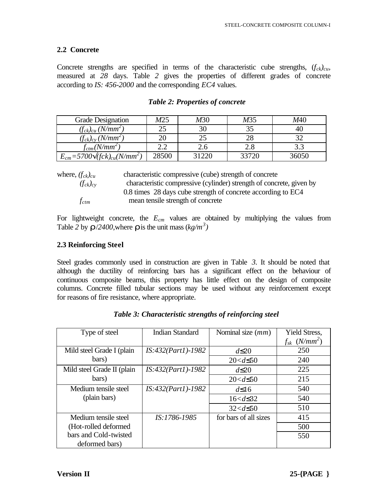# **2.2 Concrete**

Concrete strengths are specified in terms of the characteristic cube strengths,  $(f_{ck})_{cu}$ , measured at *28* days. Table *2* gives the properties of different grades of concrete according to *IS: 456-2000* and the corresponding *EC4* values.

| <b>Grade Designation</b>                                         | M25   | M30   | M35   | M40   |
|------------------------------------------------------------------|-------|-------|-------|-------|
| $(f_{ck})_{cu}$ (N/mm <sup>2</sup> )                             |       | 30    |       |       |
| $(f_{ck})_{cy}$ (N/mm <sup>2</sup> )                             |       |       | 28    |       |
| $f_{ctm}(N/mm^2)$                                                |       | 2.6   | 2.8   |       |
| $E_{cm} = 5700 \ddot{Q}$ fck) <sub>cu</sub> (N/mm <sup>2</sup> ) | 28500 | 31220 | 33720 | 36050 |

### *Table 2: Properties of concrete*

| where, $(f_{ck})_{cu}$ | characteristic compressive (cube) strength of concrete               |
|------------------------|----------------------------------------------------------------------|
| $(f_{ck})_{cv}$        | characteristic compressive (cylinder) strength of concrete, given by |
|                        | 0.8 times 28 days cube strength of concrete according to EC4         |
| $f_{ctm}$              | mean tensile strength of concrete                                    |

For lightweight concrete, the *Ecm* values are obtained by multiplying the values from Table 2 by  $\mathbf{r}/2400$ , where  $\mathbf{r}$  is the unit mass  $(kg/m^3)$ 

### **2.3 Reinforcing Steel**

Steel grades commonly used in construction are given in Table *3.* It should be noted that although the ductility of reinforcing bars has a significant effect on the behaviour of continuous composite beams, this property has little effect on the design of composite columns. Concrete filled tubular sections may be used without any reinforcement except for reasons of fire resistance, where appropriate.

| Type of steel              | <b>Indian Standard</b> | Nominal size (mm)     | <b>Yield Stress,</b>          |
|----------------------------|------------------------|-----------------------|-------------------------------|
|                            |                        |                       | $f_{sk}$ (N/mm <sup>2</sup> ) |
| Mild steel Grade I (plain  | $IS:432(Part1)-1982$   | $d\leq 20$            | 250                           |
| bars)                      |                        | $20 < d \leq 50$      | 240                           |
| Mild steel Grade II (plain | $IS:432(Part1)-1982$   | $d \leq 20$           | 225                           |
| bars)                      |                        | $20 < d \leq 50$      | 215                           |
| Medium tensile steel       | $IS:432(Part1)-1982$   | $d\leq 16$            | 540                           |
| (plain bars)               |                        | $16 < d \leq 32$      | 540                           |
|                            |                        | $32 < d \leq 50$      | 510                           |
| Medium tensile steel       | IS:1786-1985           | for bars of all sizes | 415                           |
| (Hot-rolled deformed       |                        |                       | 500                           |
| bars and Cold-twisted      |                        |                       | 550                           |
| deformed bars)             |                        |                       |                               |

 *Table 3: Characteristic strengths of reinforcing steel*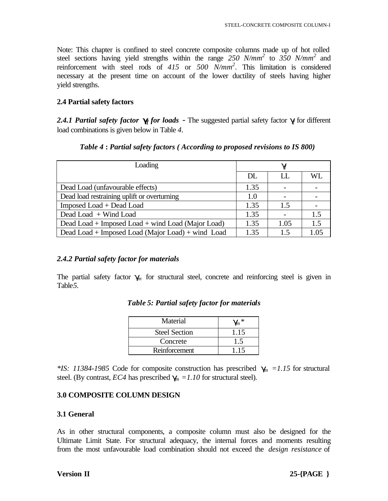Note: This chapter is confined to steel concrete composite columns made up of hot rolled steel sections having yield strengths within the range *250 N/mm<sup>2</sup>* to *350 N/mm<sup>2</sup>* and reinforcement with steel rods of *415* or *500 N/mm<sup>2</sup> .* This limitation is considered necessary at the present time on account of the lower ductility of steels having higher yield strengths.

### **2.4 Partial safety factors**

2.4.1 Partial safety factor **g** for loads - The suggested partial safety factor **g** for different load combinations is given below in Table *4*.

| Loading                                           |      | g    |      |  |
|---------------------------------------------------|------|------|------|--|
|                                                   | DL   | H.   | WL   |  |
| Dead Load (unfavourable effects)                  | 1.35 |      |      |  |
| Dead load restraining uplift or overturning       | 1.0  |      |      |  |
| Imposed Load + Dead Load                          | 1.35 | 1.5  |      |  |
| Dead Load + Wind Load                             | 1.35 |      | 1.5  |  |
| Dead Load + Imposed Load + wind Load (Major Load) | 1.35 | 1.05 | 1.5  |  |
| Dead Load + Imposed Load (Major Load) + wind Load | 1.35 | 1.5  | 1.05 |  |

### *Table 4* **:** *Partial safety factors ( According to proposed revisions to IS 800)*

# *2.4.2 Partial safety factor for materials*

The partial safety factor  $g_n$  for structural steel, concrete and reinforcing steel is given in Table*5.*

| Material             | $\mathbf{g}_n^*$ |
|----------------------|------------------|
| <b>Steel Section</b> | 1.15             |
| Concrete             |                  |
| Reinforcement        | 115              |

*Table 5: Partial safety factor for materials*

*\*IS: 11384-1985* Code for composite construction has prescribed *gm =1.15* for structural steel. (By contrast, *EC4* has prescribed  $g_n = 1.10$  for structural steel).

# **3.0 COMPOSITE COLUMN DESIGN**

# **3.1 General**

As in other structural components, a composite column must also be designed for the Ultimate Limit State. For structural adequacy, the internal forces and moments resulting from the most unfavourable load combination should not exceed the *design resistance* of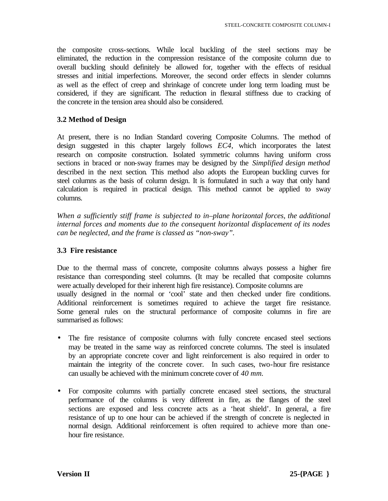the composite cross-sections. While local buckling of the steel sections may be eliminated, the reduction in the compression resistance of the composite column due to overall buckling should definitely be allowed for, together with the effects of residual stresses and initial imperfections. Moreover, the second order effects in slender columns as well as the effect of creep and shrinkage of concrete under long term loading must be considered, if they are significant. The reduction in flexural stiffness due to cracking of the concrete in the tension area should also be considered.

#### **3.2 Method of Design**

At present, there is no Indian Standard covering Composite Columns. The method of design suggested in this chapter largely follows *EC4*, which incorporates the latest research on composite construction. Isolated symmetric columns having uniform cross sections in braced or non-sway frames may be designed by the *Simplified design method*  described in the next section*.* This method also adopts the European buckling curves for steel columns as the basis of column design. It is formulated in such a way that only hand calculation is required in practical design. This method cannot be applied to sway columns.

*When a sufficiently stiff frame is subjected to in–plane horizontal forces, the additional internal forces and moments due to the consequent horizontal displacement of its nodes can be neglected, and the frame is classed as "non-sway".*

#### **3.3 Fire resistance**

Due to the thermal mass of concrete, composite columns always possess a higher fire resistance than corresponding steel columns. (It may be recalled that composite columns were actually developed for their inherent high fire resistance). Composite columns are usually designed in the normal or 'cool' state and then checked under fire conditions. Additional reinforcement is sometimes required to achieve the target fire resistance. Some general rules on the structural performance of composite columns in fire are summarised as follows:

- The fire resistance of composite columns with fully concrete encased steel sections may be treated in the same way as reinforced concrete columns. The steel is insulated by an appropriate concrete cover and light reinforcement is also required in order to maintain the integrity of the concrete cover. In such cases, two-hour fire resistance can usually be achieved with the minimum concrete cover of *40 mm.*
- For composite columns with partially concrete encased steel sections, the structural performance of the columns is very different in fire, as the flanges of the steel sections are exposed and less concrete acts as a 'heat shield'. In general, a fire resistance of up to one hour can be achieved if the strength of concrete is neglected in normal design. Additional reinforcement is often required to achieve more than onehour fire resistance.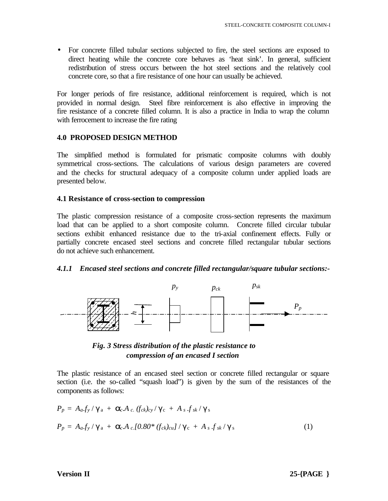• For concrete filled tubular sections subjected to fire, the steel sections are exposed to direct heating while the concrete core behaves as 'heat sink'. In general, sufficient redistribution of stress occurs between the hot steel sections and the relatively cool concrete core, so that a fire resistance of one hour can usually be achieved.

For longer periods of fire resistance, additional reinforcement is required, which is not provided in normal design. Steel fibre reinforcement is also effective in improving the fire resistance of a concrete filled column. It is also a practice in India to wrap the column with ferrocement to increase the fire rating

### **4.0 PROPOSED DESIGN METHOD**

The simplified method is formulated for prismatic composite columns with doubly symmetrical cross-sections. The calculations of various design parameters are covered and the checks for structural adequacy of a composite column under applied loads are presented below.

### **4.1 Resistance of cross-section to compression**

The plastic compression resistance of a composite cross-section represents the maximum load that can be applied to a short composite column. Concrete filled circular tubular sections exhibit enhanced resistance due to the tri-axial confinement effects. Fully or partially concrete encased steel sections and concrete filled rectangular tubular sections do not achieve such enhancement.

### *4.1.1 Encased steel sections and concrete filled rectangular/square tubular sections:-*





The plastic resistance of an encased steel section or concrete filled rectangular or square section (i.e. the so-called "squash load") is given by the sum of the resistances of the components as follows:

$$
P_p = A_a f_y / \gamma_a + \mathbf{a}_c A_c \left( f_{ck} \right)_{cy} / \gamma_c + A_s f_{sk} / \gamma_s
$$
  
\n
$$
P_p = A_a f_y / \gamma_a + \mathbf{a}_c A_c [0.80^* (f_{ck})_{cu}] / \gamma_c + A_s f_{sk} / \gamma_s
$$
\n(1)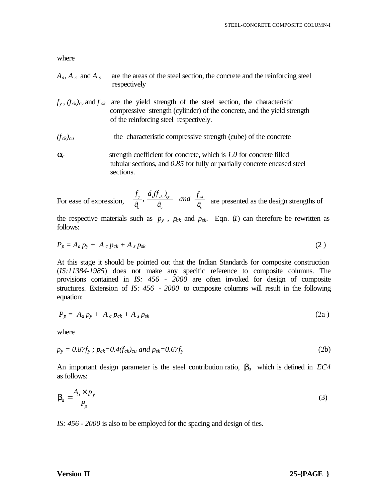- $A_a$ ,  $A_c$  and  $A_s$  are the areas of the steel section, the concrete and the reinforcing steel respectively
- $f_y$ ,  $(f_{ck})_{cy}$  and  $f_{sk}$  are the yield strength of the steel section, the characteristic compressive strength (cylinder) of the concrete, and the yield strength of the reinforcing steel respectively.
- $(f_{ck})_{cu}$  the characteristic compressive strength (cube) of the concrete
- *ac* strength coefficient for concrete, which is *1.0* for concrete filled tubular sections, and *0.85* for fully or partially concrete encased steel sections.

For ease of expression,  $\frac{a}{\tilde{a}_a}$ ,  $\frac{a}{\tilde{a}_c}$  and  $\frac{a}{\tilde{a}_s}$  are presented as the design strengths of *sk c c ck cy a y ã f and ã*  $\acute{a}$ <sub>ck</sub> $\acute{b}$ *, ã f*

the respective materials such as  $p_y$ ,  $p_{ck}$  and  $p_{sk}$ . Eqn. (*1*) can therefore be rewritten as follows:

$$
P_p = A_a p_y + A_c p_{ck} + A_s p_{sk} \tag{2}
$$

At this stage it should be pointed out that the Indian Standards for composite construction (*IS:11384-1985*) does not make any specific reference to composite columns. The provisions contained in *IS: 456 - 2000* are often invoked for design of composite structures. Extension of *IS: 456 - 2000* to composite columns will result in the following equation:

$$
P_p = A_a p_y + A_c p_{ck} + A_s p_{sk} \tag{2a}
$$

where

$$
p_{y} = 0.87f_{y}; p_{ck} = 0.4(f_{ck})_{cu} \text{ and } p_{sk} = 0.67f_{y}
$$
\n(2b)

An important design parameter is the steel contribution ratio, *ba* which is defined in *EC4*  as follows:

$$
\boldsymbol{b}_a = \frac{A_a \times p_y}{P_p} \tag{3}
$$

*IS: 456 - 2000* is also to be employed for the spacing and design of ties.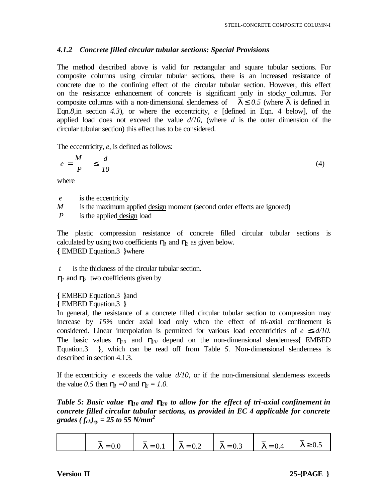# *4.1.2 Concrete filled circular tubular sections: Special Provisions*

The method described above is valid for rectangular and square tubular sections. For composite columns using circular tubular sections, there is an increased resistance of concrete due to the confining effect of the circular tubular section. However, this effect on the resistance enhancement of concrete is significant only in stocky columns. For composite columns with a non-dimensional slenderness of  $\overline{I} \leq 0.5$  (where  $\overline{I}$  is defined in Eqn.*8,*in section *4.3*), or where the eccentricity, *e* [defined in Eqn. 4 below], of the applied load does not exceed the value *d/10*, (where *d* is the outer dimension of the circular tubular section) this effect has to be considered.

The eccentricity, *e*, is defined as follows:

$$
e = \frac{M}{P} \le \frac{d}{10} \tag{4}
$$

where

- *e* is the eccentricity
- *M* is the maximum applied design moment (second order effects are ignored)

*P* is the applied design load

The plastic compression resistance of concrete filled circular tubular sections is calculated by using two coefficients  $h_1$  and  $h_2$  as given below. **{** EMBED Equation.3 **}**where

*is the thickness of the circular tubular section.* 

*h1* and *h2* two coefficients given by

**{** EMBED Equation.3 **}**and **{** EMBED Equation.3 **}**

In general, the resistance of a concrete filled circular tubular section to compression may increase by *15%* under axial load only when the effect of tri-axial confinement is considered. Linear interpolation is permitted for various load eccentricities of *e £ d/10*. The basic values  $h_{10}$  and  $h_{20}$  depend on the non-dimensional slenderness EMBED Equation.3 **}**, which can be read off from Table *5.* Non-dimensional slenderness is described in section 4.1.3.

If the eccentricity  $e$  exceeds the value  $d/10$ , or if the non-dimensional slenderness exceeds the value 0.5 then  $h_1 = 0$  and  $h_2 = 1.0$ .

*Table 5: Basic value h10 and h20 to allow for the effect of tri-axial confinement in concrete filled circular tubular sections, as provided in EC 4 applicable for concrete grades*  $(f_{ck})_{cy} = 25$  *to 55 N/mm<sup>2</sup>* 

| $I = 0.1$ $I = 0.2$ $I = 0.3$ $I = 0.4$<br>$I = 0.0$<br>$I \geq 0.5$ |
|----------------------------------------------------------------------|
|----------------------------------------------------------------------|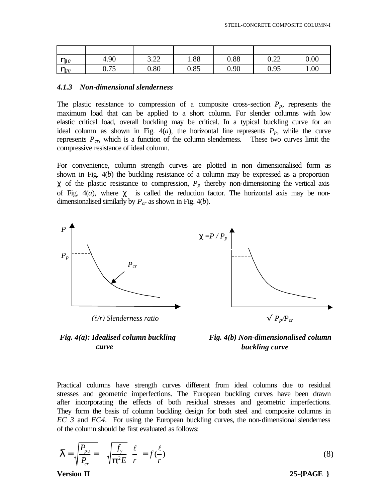| $\bm{h}_{l0}$  | 4.90         | $\Omega$<br>∟∠… | 1.88 | 0.88 | $\cap$ $\cap$<br>U.ZZ | 0.00 |
|----------------|--------------|-----------------|------|------|-----------------------|------|
| $\bm{h}_{\!0}$ | 75<br>v. / J | 0.80            | 0.85 | 0.90 | 0.95                  | 1.00 |

#### *4.1.3 Non-dimensional slenderness*

The plastic resistance to compression of a composite cross-section  $P_p$ , represents the maximum load that can be applied to a short column. For slender columns with low elastic critical load, overall buckling may be critical. In a typical buckling curve for an ideal column as shown in Fig.  $4(a)$ , the horizontal line represents  $P_p$ , while the curve represents  $P_{cr}$ , which is a function of the column slenderness. These two curves limit the compressive resistance of ideal column.

For convenience, column strength curves are plotted in non dimensionalised form as shown in Fig. 4(*b*) the buckling resistance of a column may be expressed as a proportion  $\chi$  of the plastic resistance to compression,  $P_p$  thereby non-dimensioning the vertical axis of Fig.  $4(a)$ *,* where  $\chi$  is called the reduction factor. The horizontal axis may be nondimensionalised similarly by *Pcr* as shown in Fig. 4(*b*)*.*







Practical columns have strength curves different from ideal columns due to residual stresses and geometric imperfections. The European buckling curves have been drawn after incorporating the effects of both residual stresses and geometric imperfections. They form the basis of column buckling design for both steel and composite columns in *EC 3* and *EC4*. For using the European buckling curves, the non-dimensional slenderness of the column should be first evaluated as follows:

$$
\overline{\mathbf{I}} = \sqrt{\frac{P_{pu}}{P_{cr}}} = \sqrt{\frac{f_y}{\mathbf{p}^2 E}} \frac{\ell}{r} = f(\frac{\ell}{r})
$$
\n
$$
\text{Version II} \qquad (8)
$$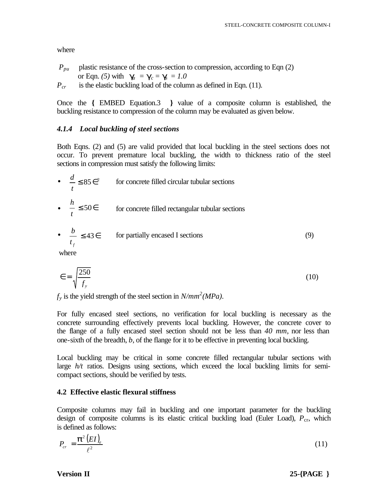- *P*<sub>pu</sub> plastic resistance of the cross-section to compression, according to Eqn (2) or Eqn. (5) with  $g_a = g_c = g = 1.0$
- $P_{cr}$  is the elastic buckling load of the column as defined in Eqn. (11).

Once the **{** EMBED Equation.3 **}** value of a composite column is established, the buckling resistance to compression of the column may be evaluated as given below.

### *4.1.4 Local buckling of steel sections*

Both Eqns. (2) and (5) are valid provided that local buckling in the steel sections does not occur. To prevent premature local buckling, the width to thickness ratio of the steel sections in compression must satisfy the following limits:

- for concrete filled circular tubular sections  $\bullet \quad -\leq 50 \in$  for concrete filled rectangular tubular sections  $≤ 85∈²$ *t d t h*
- $\frac{b}{\pi} \leq 43 \in$  for partially encased I sections (9) *f t b*

where

$$
\epsilon = \sqrt{\frac{250}{f_y}}\tag{10}
$$

 $f_y$  is the yield strength of the steel section in  $N/mm^2 (MPa)$ .

For fully encased steel sections, no verification for local buckling is necessary as the concrete surrounding effectively prevents local buckling. However, the concrete cover to the flange of a fully encased steel section should not be less than *40 mm*, nor less than one-sixth of the breadth, *b*, of the flange for it to be effective in preventing local buckling.

Local buckling may be critical in some concrete filled rectangular tubular sections with large *h/t* ratios. Designs using sections, which exceed the local buckling limits for semicompact sections, should be verified by tests.

### **4.2 Effective elastic flexural stiffness**

Composite columns may fail in buckling and one important parameter for the buckling design of composite columns is its elastic critical buckling load (Euler Load),  $P_{cr}$ , which is defined as follows:

$$
P_{cr} = \frac{\boldsymbol{p}^2 (EI)_e}{\ell^2} \tag{11}
$$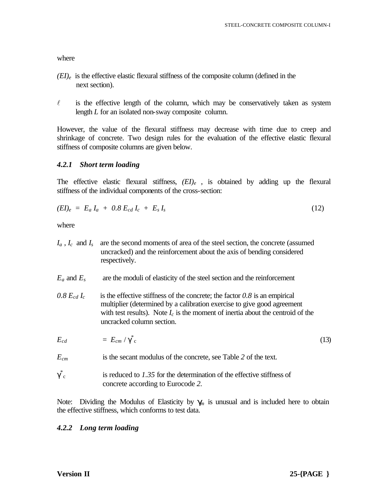- $(EI)_e$  is the effective elastic flexural stiffness of the composite column (defined in the next section).
- $\ell$  is the effective length of the column, which may be conservatively taken as system length *L* for an isolated non-sway composite column.

However, the value of the flexural stiffness may decrease with time due to creep and shrinkage of concrete. Two design rules for the evaluation of the effective elastic flexural stiffness of composite columns are given below.

### *4.2.1 Short term loading*

The effective elastic flexural stiffness,  $(EI)_e$ , is obtained by adding up the flexural stiffness of the individual components of the cross-section:

$$
(EI)_e = E_a I_a + 0.8 E_{cd} I_c + E_s I_s \tag{12}
$$

where

- *Ia* , *I<sup>c</sup>* and *I<sup>s</sup>* are the second moments of area of the steel section, the concrete (assumed uncracked) and the reinforcement about the axis of bending considered respectively.
- $E_a$  and  $E_s$  are the moduli of elasticity of the steel section and the reinforcement
- 0.8  $E_{cd}I_c$  is the effective stiffness of the concrete; the factor 0.8 is an empirical multiplier (determined by a calibration exercise to give good agreement with test results). Note  $I_c$  is the moment of inertia about the centroid of the uncracked column section.

$$
E_{cd} = E_{cm}/\gamma^*_{c} \tag{13}
$$

- *Ecm* is the secant modulus of the concrete, see Table *2* of the text.
- γ \* is reduced to 1.35 for the determination of the effective stiffness of concrete according to Eurocode *2.*

Note: Dividing the Modulus of Elasticity by  $g_n$  is unusual and is included here to obtain the effective stiffness, which conforms to test data.

### *4.2.2 Long term loading*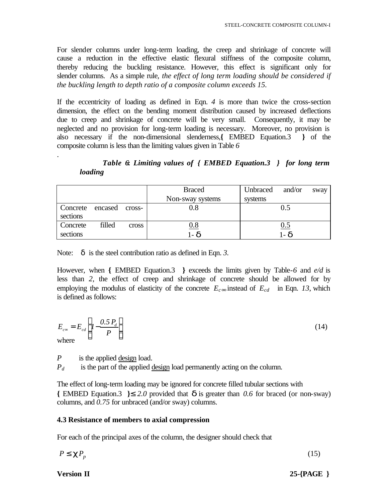For slender columns under long-term loading, the creep and shrinkage of concrete will cause a reduction in the effective elastic flexural stiffness of the composite column, thereby reducing the buckling resistance. However, this effect is significant only for slender columns. As a simple rule, *the effect of long term loading should be considered if the buckling length to depth ratio of a composite column exceeds 15.*

If the eccentricity of loading as defined in Eqn. *4* is more than twice the cross-section dimension, the effect on the bending moment distribution caused by increased deflections due to creep and shrinkage of concrete will be very small. Consequently, it may be neglected and no provision for long-term loading is necessary. Moreover, no provision is also necessary if the non-dimensional slenderness,**{** EMBED Equation.3 **}** of the composite column is less than the limiting values given in Table *6*

*Table 6***:** *Limiting values of { EMBED Equation.3 } for long term loading*

|                  |        |        | <b>Braced</b>    | Unbraced | and/or  | sway |
|------------------|--------|--------|------------------|----------|---------|------|
|                  |        |        | Non-sway systems | systems  |         |      |
| Concrete encased |        | cross- | 0.8              |          | 0.5     |      |
| sections         |        |        |                  |          |         |      |
| Concrete         | filled | cross  | <u>0.8</u>       |          | 0.5     |      |
| sections         |        |        | $1 - d$          |          | $1 - d$ |      |

Note: δ is the steel contribution ratio as defined in Eqn. *3.*

However, when **{** EMBED Equation.3 **}** exceeds the limits given by Table-*6* and *e/d* is less than *2*, the effect of creep and shrinkage of concrete should be allowed for by employing the modulus of elasticity of the concrete  $E_c$ *¥* instead of  $E_{cd}$  in Eqn. 13, which is defined as follows:

$$
E_{\rm c} = E_{cd} \left[ I - \frac{0.5 P_d}{P} \right]
$$
 (14)

.

*P* is the applied design load.

*Pd* is the part of the applied design load permanently acting on the column.

The effect of long-term loading may be ignored for concrete filled tubular sections with **{** EMBED Equation.3 **}**≤ *2.0* provided that *d* is greater than *0.6* for braced (or non-sway) columns, and *0.75* for unbraced (and/or sway) columns.

#### **4.3 Resistance of members to axial compression**

For each of the principal axes of the column, the designer should check that

$$
P \le c P_p \tag{15}
$$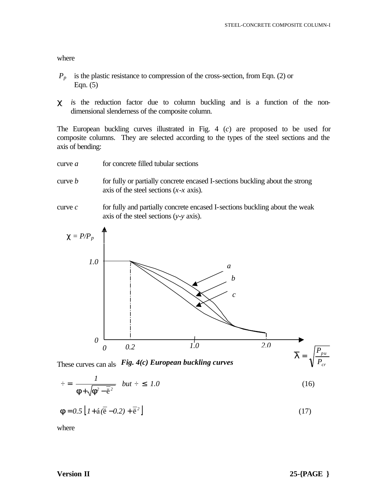- $P_p$  is the plastic resistance to compression of the cross-section, from Eqn. (2) or Eqn. (5)
- *c i*s the reduction factor due to column buckling and is a function of the nondimensional slenderness of the composite column.

The European buckling curves illustrated in Fig. 4 (*c*) are proposed to be used for composite columns. They are selected according to the types of the steel sections and the axis of bending:

- curve *a* for concrete filled tubular sections
- curve *b* for fully or partially concrete encased I-sections buckling about the strong axis of the steel sections (*x-x* axis).
- curve *c* for fully and partially concrete encased I-sections buckling about the weak axis of the steel sections (*y-y* axis).



These curves can also Fig. 4(c) European buckling curves

$$
\dot{v} = \frac{1}{\mathbf{f} + \sqrt{\mathbf{f}^2 - \bar{e}^2}} \quad but \ \dot{v} \leq 1.0 \tag{16}
$$

$$
\boldsymbol{f} = 0.5 \left[ 1 + \hat{\mathbf{a}} (\vec{\mathbf{e}} - 0.2) + \vec{\mathbf{e}}^2 \right]
$$
 (17)

where

*cr*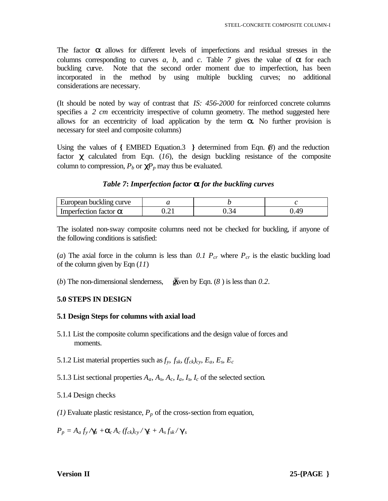The factor *a* allows for different levels of imperfections and residual stresses in the columns corresponding to curves *a, b*, and *c.* Table *7* gives the value of *a* for each buckling curve. Note that the second order moment due to imperfection, has been incorporated in the method by using multiple buckling curves; no additional considerations are necessary.

(It should be noted by way of contrast that *IS: 456-2000* for reinforced concrete columns specifies a 2 cm eccentricity irrespective of column geometry. The method suggested here allows for an eccentricity of load application by the term *a.* No further provision is necessary for steel and composite columns)

Using the values of **{** EMBED Equation.3 **}** determined from Eqn. (*8*) and the reduction factor *c* calculated from Eqn. (*16*)*,* the design buckling resistance of the composite column to compression,  $P_b$  or  $\mathbf{C}^p$  may thus be evaluated.

#### *Table 7***:** *Imperfection factor a for the buckling curves*

| European buckling curve              |  |  |
|--------------------------------------|--|--|
| Imperfection factor $\boldsymbol{a}$ |  |  |

The isolated non-sway composite columns need not be checked for buckling, if anyone of the following conditions is satisfied:

(*a*) The axial force in the column is less than 0.1  $P_{cr}$  where  $P_{cr}$  is the elastic buckling load of the column given by Eqn (*11*)

(*b*) The non-dimensional slenderness,  $\overline{\mathbf{g}}$  ven by Eqn. (*8*) is less than 0.2.

### **5.0 STEPS IN DESIGN**

#### **5.1 Design Steps for columns with axial load**

- 5.1.1 List the composite column specifications and the design value of forces and moments.
- 5.1.2 List material properties such as  $f_y$ ,  $f_{sk}$ ,  $(f_{ck})_{cy}$ ,  $E_a$ ,  $E_s$ ,  $E_c$
- 5.1.3 List sectional properties  $A_a$ ,  $A_s$ ,  $A_c$ ,  $I_a$ ,  $I_s$ ,  $I_c$  of the selected section.

5.1.4 Design checks

*(1)* Evaluate plastic resistance, *Pp* of the cross-section from equation,

 $P_p = A_a f_y / g_a + a_c A_c (f_{ck})_{cy} / g_s + A_s f_{sk} / g_s$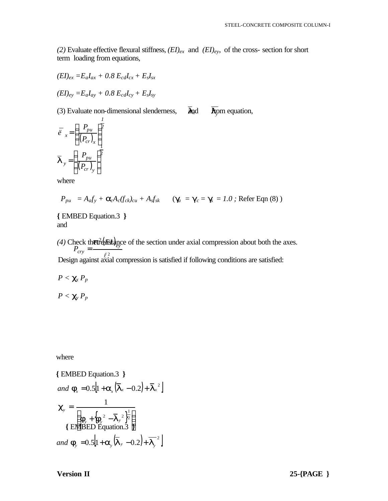*(2)* Evaluate effective flexural stiffness, *(EI)ex* and *(EI)ey*, of the cross- section for short term loading from equations,

$$
(EI)_{ex} = E_a I_{ax} + 0.8 E_{cd} I_{cx} + E_s I_{sx}
$$

$$
(EI)_{ey} = E_a I_{ay} + 0.8 E_{cd} I_{cy} + E_s I_{sy}
$$

(3) Evaluate non-dimensional slenderness,  $\overline{d}$ nd  $\overline{f}$ rom equation, *l*<sub>*l*</sub><sup>*n*</sup>*l*<sub>*l*</sub><sup>*n*</sup> *1*

$$
\overline{\ddot{e}}_{x} = \left(\frac{P_{pu}}{(P_{cr})_{x}}\right)^{\frac{1}{2}}
$$

$$
\overline{I}_{y} = \left(\frac{P_{pu}}{(P_{cr})_{y}}\right)^{\frac{1}{2}}
$$

where

$$
P_{pu} = A_{a}f_{y} + \mathbf{a}_{c}A_{c}(f_{ck})_{cu} + A_{s}f_{sk} \qquad (\mathbf{g}_{a} = \mathbf{g}_{c} = \mathbf{g} = 1.0 ; \text{ Refer Eqn (8))}
$$

**{** EMBED Equation.3 **}** and

(4) Check that  $\frac{d}{dx}$  the section under axial compression about both the axes. *ey cry EI P p* =

Design against axial compression is satisfied if following conditions are satisfied:

 $P < c_x P_p$ 

 $P < c_v P_p$ 

where

{EMBED Equation.3 }\nand 
$$
\mathbf{f}_x = 0.5 \left[ 1 + \mathbf{a}_x (\overline{\mathbf{I}}_x - 0.2) + \overline{\mathbf{I}}_x^2 \right]
$$
\n $\mathbf{c}_y = \frac{1}{\left\{ \mathbf{f}_y + \left\{ \mathbf{f}_y^2 - \overline{\mathbf{I}}_y^2 \right\}^{\frac{1}{2}} \right\}}$ \nand  $\mathbf{f}_y = 0.5 \left[ 1 + \mathbf{a}_y (\overline{\mathbf{I}}_y - 0.2) + \overline{\mathbf{I}}_y^2 \right]$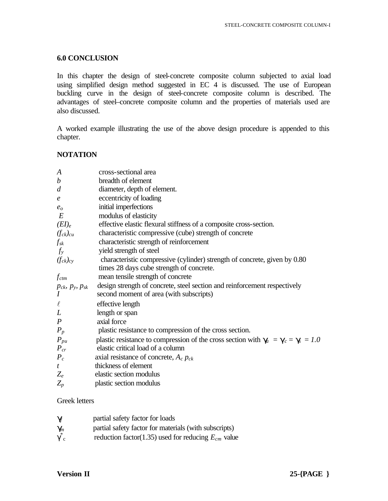### **6.0 CONCLUSION**

In this chapter the design of steel-concrete composite column subjected to axial load using simplified design method suggested in EC 4 is discussed. The use of European buckling curve in the design of steel-concrete composite column is described. The advantages of steel–concrete composite column and the properties of materials used are also discussed.

A worked example illustrating the use of the above design procedure is appended to this chapter.

### **NOTATION**

| $\boldsymbol{A}$              | cross-sectional area                                                              |
|-------------------------------|-----------------------------------------------------------------------------------|
| $\boldsymbol{b}$              | breadth of element                                                                |
| $\overline{d}$                | diameter, depth of element.                                                       |
| $\boldsymbol{e}$              | eccentricity of loading                                                           |
| $e_o$                         | initial imperfections                                                             |
| E                             | modulus of elasticity                                                             |
| $(EI)_e$                      | effective elastic flexural stiffness of a composite cross-section.                |
| $(f_{ck})_{cu}$               | characteristic compressive (cube) strength of concrete                            |
| $f_{\mathrm sk}$              | characteristic strength of reinforcement                                          |
| $f_{y}$                       | yield strength of steel                                                           |
| $(f_{ck})_{cy}$               | characteristic compressive (cylinder) strength of concrete, given by 0.80         |
|                               | times 28 days cube strength of concrete.                                          |
| $f_{ctm}$                     | mean tensile strength of concrete                                                 |
| $p_{ck}$ , $p_{y}$ , $p_{sk}$ | design strength of concrete, steel section and reinforcement respectively         |
| $\overline{I}$                | second moment of area (with subscripts)                                           |
| $\ell$                        | effective length                                                                  |
| L                             | length or span                                                                    |
| $\boldsymbol{P}$              | axial force                                                                       |
| $P_p$                         | plastic resistance to compression of the cross section.                           |
| $P_{pu}$                      | plastic resistance to compression of the cross section with $g_a = g_c = g = 1.0$ |
| $P_{cr}$                      | elastic critical load of a column                                                 |
| $P_c$                         | axial resistance of concrete, $A_c$ $p_{ck}$                                      |
| $\boldsymbol{t}$              | thickness of element                                                              |
| $Z_e$                         | elastic section modulus                                                           |
| $Z_p$                         | plastic section modulus                                                           |
|                               |                                                                                   |

### Greek letters

| $\boldsymbol{g}$   | partial safety factor for loads                         |
|--------------------|---------------------------------------------------------|
| $\boldsymbol{g}_n$ | partial safety factor for materials (with subscripts)   |
| $\gamma_c$         | reduction factor(1.35) used for reducing $E_{cm}$ value |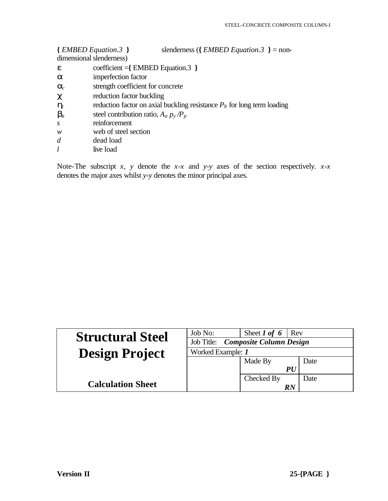|                        | slenderness ({ $EMBED Equation.3$ } = non-<br>{EMBED Equation.3}<br>dimensional slenderness) |
|------------------------|----------------------------------------------------------------------------------------------|
| e                      | $\text{coefficient} = \{ \text{EMBED Equation.3} \}$                                         |
| a                      | imperfection factor                                                                          |
| $\boldsymbol{a}_{\!c}$ | strength coefficient for concrete                                                            |
| $\mathbf c$            | reduction factor buckling                                                                    |
| $\bm{h}_{\!c}$         | reduction factor on axial buckling resistance $Pb$ for long term loading                     |
| $\bm{b}_a$             | steel contribution ratio, $A_a p_y / P_p$                                                    |
| S                      | reinforcement                                                                                |
| w                      | web of steel section                                                                         |
| d                      | dead load                                                                                    |
|                        |                                                                                              |

*l* live load

Note-The subscript *x, y* denote the *x-x* and *y-y* axes of the section respectively*. x-x* denotes the major axes whilst *y-y* denotes the minor principal axes.

| <b>Structural Steel</b>  | Job No:                            | Sheet 1 of 6<br>Rev |      |
|--------------------------|------------------------------------|---------------------|------|
|                          | Job Title: Composite Column Design |                     |      |
| <b>Design Project</b>    | Worked Example: 1                  |                     |      |
|                          |                                    | Made By             | Date |
|                          |                                    | <i>PU</i>           |      |
|                          |                                    | Checked By          | Date |
| <b>Calculation Sheet</b> |                                    | RN                  |      |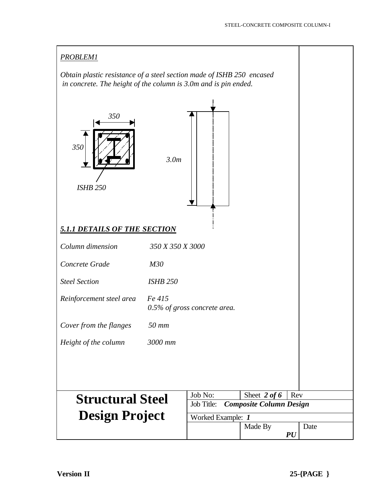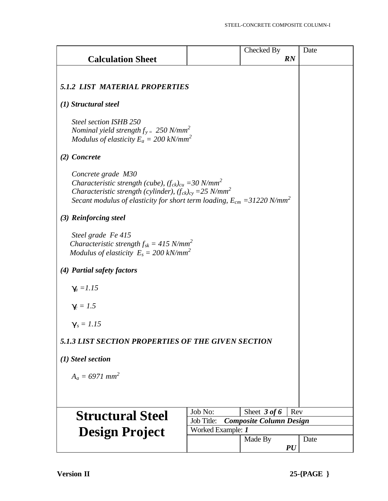|                                                                                                                                                                                                                                                                       |            | Checked By                     | Date |
|-----------------------------------------------------------------------------------------------------------------------------------------------------------------------------------------------------------------------------------------------------------------------|------------|--------------------------------|------|
| <b>Calculation Sheet</b>                                                                                                                                                                                                                                              |            | RN                             |      |
|                                                                                                                                                                                                                                                                       |            |                                |      |
| <b>5.1.2 LIST MATERIAL PROPERTIES</b>                                                                                                                                                                                                                                 |            |                                |      |
| (1) Structural steel                                                                                                                                                                                                                                                  |            |                                |      |
| Steel section ISHB 250<br>Nominal yield strength $f_{y=}$ 250 N/mm <sup>2</sup><br>Modulus of elasticity $E_a = 200 \text{ kN/mm}^2$                                                                                                                                  |            |                                |      |
| (2) Concrete                                                                                                                                                                                                                                                          |            |                                |      |
| Concrete grade M30<br>Characteristic strength (cube), $(f_{ck})_{cu} = 30$ N/mm <sup>2</sup><br>Characteristic strength (cylinder), $(f_{ck})_{cy} = 25$ N/mm <sup>2</sup><br>Secant modulus of elasticity for short term loading, $E_{cm} = 31220$ N/mm <sup>2</sup> |            |                                |      |
| (3) Reinforcing steel                                                                                                                                                                                                                                                 |            |                                |      |
| Steel grade Fe 415<br>Characteristic strength $f_{sk} = 415$ N/mm <sup>2</sup><br>Modulus of elasticity $E_s = 200 \text{ kN/mm}^2$                                                                                                                                   |            |                                |      |
| (4) Partial safety factors                                                                                                                                                                                                                                            |            |                                |      |
| $g_i = 1.15$                                                                                                                                                                                                                                                          |            |                                |      |
| $g = 1.5$                                                                                                                                                                                                                                                             |            |                                |      |
| $g_s = 1.15$                                                                                                                                                                                                                                                          |            |                                |      |
| 5.1.3 LIST SECTION PROPERTIES OF THE GIVEN SECTION                                                                                                                                                                                                                    |            |                                |      |
| (1) Steel section                                                                                                                                                                                                                                                     |            |                                |      |
| $A_a = 6971$ mm <sup>2</sup>                                                                                                                                                                                                                                          |            |                                |      |
|                                                                                                                                                                                                                                                                       |            |                                |      |
| <b>Structural Steel</b>                                                                                                                                                                                                                                               | Job No:    | Sheet $3$ of 6                 | Rev  |
|                                                                                                                                                                                                                                                                       | Job Title: | <b>Composite Column Design</b> |      |
| Worked Example: 1<br><b>Design Project</b>                                                                                                                                                                                                                            |            |                                | Date |
|                                                                                                                                                                                                                                                                       |            | Made By<br>PU                  |      |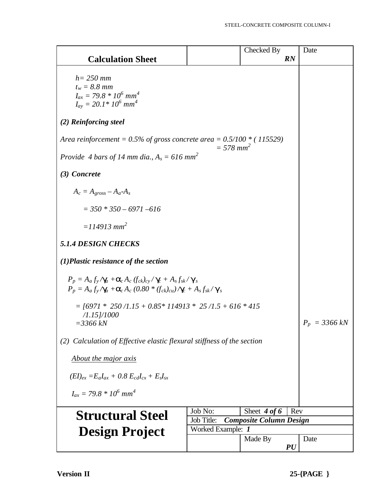|                                                                                                                                                           |                                | Checked By     | Date      |
|-----------------------------------------------------------------------------------------------------------------------------------------------------------|--------------------------------|----------------|-----------|
| <b>Calculation Sheet</b>                                                                                                                                  |                                |                | RN        |
| $h = 250$ mm                                                                                                                                              |                                |                |           |
| $t_w = 8.8$ mm                                                                                                                                            |                                |                |           |
| $I_{ax} = 79.8 * 10^6$ mm <sup>4</sup>                                                                                                                    |                                |                |           |
| $I_{av} = 20.1*10^6$ mm <sup>4</sup>                                                                                                                      |                                |                |           |
| (2) Reinforcing steel                                                                                                                                     |                                |                |           |
| Area reinforcement = 0.5% of gross concrete area = $0.5/100$ * (115529)                                                                                   | $= 578$ mm <sup>2</sup>        |                |           |
| Provide 4 bars of 14 mm dia., $A_s = 616$ mm <sup>2</sup>                                                                                                 |                                |                |           |
| (3) Concrete                                                                                                                                              |                                |                |           |
| $A_c = A_{gross} - A_a - A_s$                                                                                                                             |                                |                |           |
| $=$ 350 $*$ 350 - 6971 -616                                                                                                                               |                                |                |           |
| $= 114913$ mm <sup>2</sup>                                                                                                                                |                                |                |           |
| <b>5.1.4 DESIGN CHECKS</b>                                                                                                                                |                                |                |           |
| $(1)$ Plastic resistance of the section                                                                                                                   |                                |                |           |
| $P_p = A_a f_y / g_a + a_c A_c (f_{ck})_{cy} / g_c + A_s f_{sk} / g_s$<br>$P_p = A_a f_y / g_a + a_c A_c (0.80 * (f_{ck})_{cu}) / g_c + A_s f_{sk} / g_s$ |                                |                |           |
| $=$ [6971 * 250/1.15 + 0.85 * 114913 * 25/1.5 + 616 * 415                                                                                                 |                                |                |           |
| $/1.15$ $]/1000$                                                                                                                                          |                                |                |           |
| $= 3366 kN$                                                                                                                                               | $P_p = 3366 kN$                |                |           |
| (2) Calculation of Effective elastic flexural stiffness of the section                                                                                    |                                |                |           |
| About the major axis                                                                                                                                      |                                |                |           |
| $(EI)_{ex} = E_a I_{ax} + 0.8 E_{cd} I_{cx} + E_s I_{sx}$                                                                                                 |                                |                |           |
| $I_{ax} = 79.8 * 10^6$ mm <sup>4</sup>                                                                                                                    |                                |                |           |
|                                                                                                                                                           | Job No:                        | Sheet $4 of 6$ | Rev       |
| <b>Structural Steel</b>                                                                                                                                   | <b>Composite Column Design</b> |                |           |
| <b>Design Project</b>                                                                                                                                     |                                |                |           |
|                                                                                                                                                           |                                | Made By        | Date      |
|                                                                                                                                                           |                                |                | <b>PU</b> |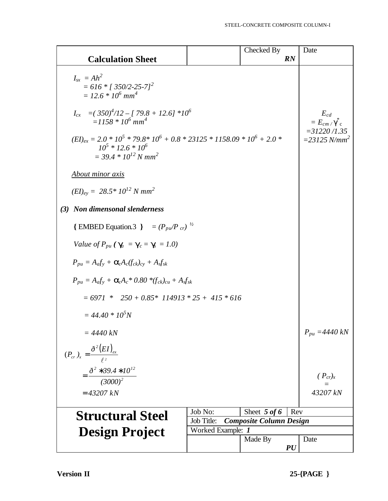|                                                                                                                                                          |         | Checked By     |     | Date                                                          |
|----------------------------------------------------------------------------------------------------------------------------------------------------------|---------|----------------|-----|---------------------------------------------------------------|
| <b>Calculation Sheet</b>                                                                                                                                 |         |                | RN  |                                                               |
| $I_{sr} = Ah^2$<br>$= 616 * 1350/2 - 25-71^2$<br>$= 12.6 * 10^6$ mm <sup>4</sup>                                                                         |         |                |     |                                                               |
| $I_{cx} = (350)^4/12 - [79.8 + 12.6] *10^6$<br>$=1158 * 10^{6}$ mm <sup>4</sup>                                                                          |         |                |     | $E_{cd}$<br>$= E_{cm}/\gamma$ <sub>c</sub><br>$=$ 31220 /1.35 |
| $(EI)_{ex} = 2.0 * 10^5 * 79.8 * 10^6 + 0.8 * 23125 * 1158.09 * 10^6 + 2.0 *$<br>$10^5 * 12.6 * 10^6$<br>$=$ 39.4 $*$ 10 <sup>12</sup> N mm <sup>2</sup> |         |                |     | $=$ 23125 N/mm <sup>2</sup>                                   |
| <b>About minor axis</b>                                                                                                                                  |         |                |     |                                                               |
| $(EI)_{ey} = 28.5 * 10^{12} N \text{ mm}^2$                                                                                                              |         |                |     |                                                               |
| (3) Non dimensonal slenderness                                                                                                                           |         |                |     |                                                               |
| {EMBED Equation.3 } = $(P_{pu}/P_{cr})^{1/2}$                                                                                                            |         |                |     |                                                               |
| Value of $P_{pu}$ ( $\mathbf{g}_i = \mathbf{g}_c = \mathbf{g} = 1.0$ )                                                                                   |         |                |     |                                                               |
| $P_{\mu\nu} = A_a f_v + \mathbf{a}_c A_c (f_{ck})_{cv} + A_s f_{sk}$                                                                                     |         |                |     |                                                               |
| $P_{pu} = A_a f_v + \mathbf{a}_c A_c * 0.80 * (f_{ck})_{cu} + A_s f_{sk}$                                                                                |         |                |     |                                                               |
| $= 6971 * 250 + 0.85 * 114913 * 25 + 415 * 616$                                                                                                          |         |                |     |                                                               |
| $= 44.40 * 105N$                                                                                                                                         |         |                |     |                                                               |
| $= 4440 kN$                                                                                                                                              |         |                |     | $P_{pu} = 4440 kN$                                            |
| $(P_{cr})_x = \frac{\partial^2 (EI)_{ex}}{\rho^2}$                                                                                                       |         |                |     |                                                               |
| $=\frac{\delta^2 * 39.4 * 10^{12}}{(3000)^2}$                                                                                                            |         |                |     | $(P_{cr})_x$                                                  |
| $= 43207 kN$                                                                                                                                             |         |                |     | 43207 kN                                                      |
|                                                                                                                                                          |         |                |     |                                                               |
| <b>Structural Steel</b>                                                                                                                                  | Job No: | Sheet $5$ of 6 | Rev |                                                               |
| Job Title:<br><b>Composite Column Design</b><br>Worked Example: 1                                                                                        |         |                |     |                                                               |
| <b>Design Project</b>                                                                                                                                    |         | Made By        |     | Date                                                          |
|                                                                                                                                                          |         |                | PU  |                                                               |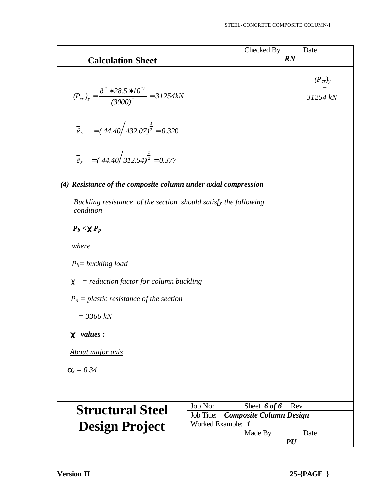|                                                                                                                                |                                | Checked By     | Date                     |
|--------------------------------------------------------------------------------------------------------------------------------|--------------------------------|----------------|--------------------------|
| <b>Calculation Sheet</b>                                                                                                       |                                |                | RN                       |
| $(P_{cr})_y = \frac{\delta^2 * 28.5 * 10^{12}}{(3000)^2} = 31254kN$<br>$\vec{e}_x = (44.40 \div 432.07)^{\frac{1}{2}} = 0.320$ |                                |                | $(P_{cr})_y$<br>31254 kN |
| $\vec{e}_y = (44.40 \sqrt{312.54})^{\frac{1}{2}} = 0.377$                                                                      |                                |                |                          |
| (4) Resistance of the composite column under axial compression                                                                 |                                |                |                          |
| Buckling resistance of the section should satisfy the following<br>condition                                                   |                                |                |                          |
| $P_b < cP_p$                                                                                                                   |                                |                |                          |
| where                                                                                                                          |                                |                |                          |
| $P_b$ = buckling load                                                                                                          |                                |                |                          |
| $=$ reduction factor for column buckling<br>$\chi$                                                                             |                                |                |                          |
| $P_p$ = plastic resistance of the section                                                                                      |                                |                |                          |
| $=$ 3366 kN                                                                                                                    |                                |                |                          |
| $\bullet$ values :                                                                                                             |                                |                |                          |
| About major axis                                                                                                               |                                |                |                          |
| $a_x = 0.34$                                                                                                                   |                                |                |                          |
|                                                                                                                                |                                |                |                          |
| <b>Structural Steel</b>                                                                                                        | Job No:<br>Job Title:          | Sheet $6$ of 6 | Rev                      |
|                                                                                                                                | <b>Composite Column Design</b> |                |                          |
| <b>Design Project</b>                                                                                                          | Date                           |                |                          |
|                                                                                                                                |                                | Made By        | PU                       |